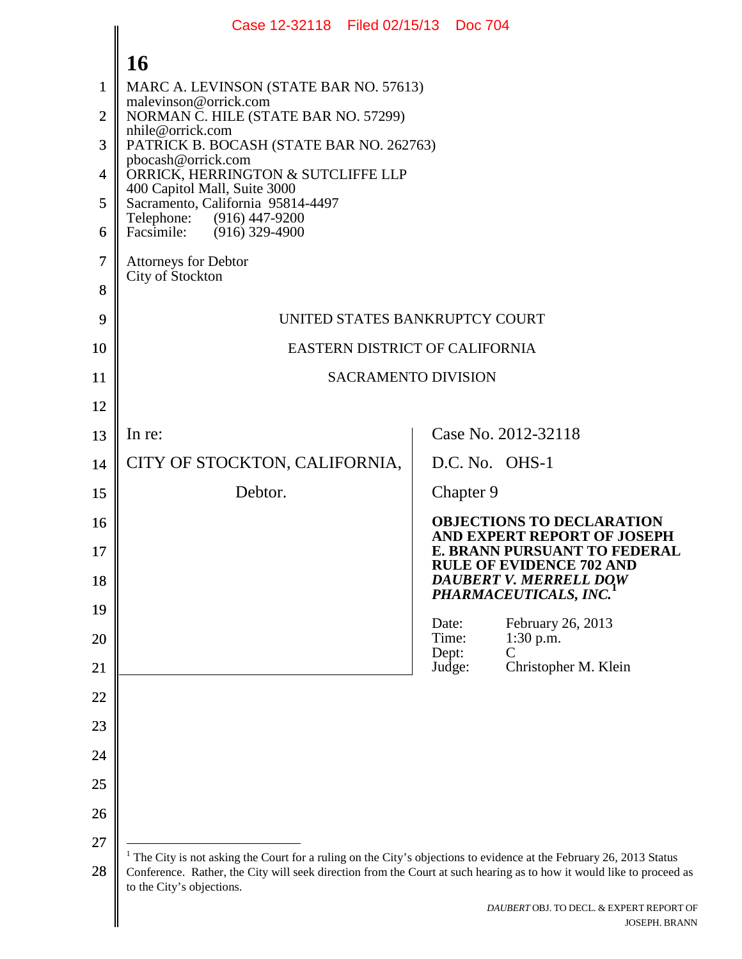|                | Case 12-32118 Filed 02/15/13 Doc 704                                                                                                               |                                                                 |
|----------------|----------------------------------------------------------------------------------------------------------------------------------------------------|-----------------------------------------------------------------|
|                | 16                                                                                                                                                 |                                                                 |
| 1              | MARC A. LEVINSON (STATE BAR NO. 57613)                                                                                                             |                                                                 |
| $\overline{2}$ | malevinson@orrick.com<br>NORMAN C. HILE (STATE BAR NO. 57299)                                                                                      |                                                                 |
| 3              | nhile@orrick.com<br>PATRICK B. BOCASH (STATE BAR NO. 262763)                                                                                       |                                                                 |
| 4              | pbocash@orrick.com<br>ORRICK, HERRINGTON & SUTCLIFFE LLP                                                                                           |                                                                 |
| 5              | 400 Capitol Mall, Suite 3000<br>Sacramento, California 95814-4497                                                                                  |                                                                 |
| 6              | Telephone:<br>(916) 447-9200<br>Facsimile: (916) 329-4900                                                                                          |                                                                 |
| 7              | <b>Attorneys for Debtor</b>                                                                                                                        |                                                                 |
| 8              | City of Stockton                                                                                                                                   |                                                                 |
| 9              | UNITED STATES BANKRUPTCY COURT                                                                                                                     |                                                                 |
| 10             | EASTERN DISTRICT OF CALIFORNIA                                                                                                                     |                                                                 |
| 11             | <b>SACRAMENTO DIVISION</b>                                                                                                                         |                                                                 |
| 12             |                                                                                                                                                    |                                                                 |
| 13             | In re:                                                                                                                                             | Case No. 2012-32118                                             |
| 14             | CITY OF STOCKTON, CALIFORNIA,                                                                                                                      | D.C. No. OHS-1                                                  |
| 15             | Debtor.                                                                                                                                            | Chapter 9                                                       |
| 16             |                                                                                                                                                    | <b>OBJECTIONS TO DECLARATION</b><br>AND EXPERT REPORT OF JOSEPH |
| 17             |                                                                                                                                                    | E. BRANN PURSUANT TO FEDERAL<br><b>RULE OF EVIDENCE 702 AND</b> |
| 18             |                                                                                                                                                    | DAUBERT V. MERRELL DOW<br>PHARMACEUTICALS, INC.                 |
| 19             |                                                                                                                                                    | Date:<br>February 26, 2013                                      |
| 20             |                                                                                                                                                    | Time:<br>1:30 p.m.<br>$\mathsf{C}$<br>Dept:                     |
| 21             |                                                                                                                                                    | Christopher M. Klein<br>Judge:                                  |
| 22             |                                                                                                                                                    |                                                                 |
| 23             |                                                                                                                                                    |                                                                 |
| 24             |                                                                                                                                                    |                                                                 |
| 25             |                                                                                                                                                    |                                                                 |
| 26             |                                                                                                                                                    |                                                                 |
| 27             | $1$ The City is not asking the Court for a ruling on the City's objections to evidence at the February 26, 2013 Status                             |                                                                 |
| 28             | Conference. Rather, the City will seek direction from the Court at such hearing as to how it would like to proceed as<br>to the City's objections. |                                                                 |

<span id="page-0-0"></span>I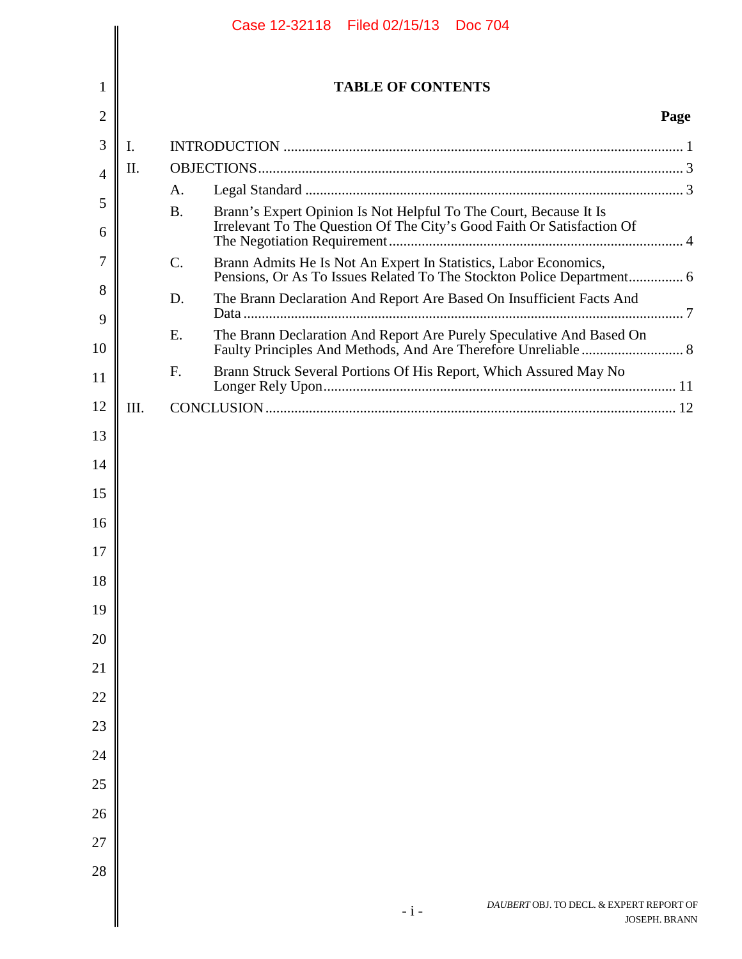|                |      | Case 12-32118 Filed 02/15/13 Doc 704                                                                                                                         |               |
|----------------|------|--------------------------------------------------------------------------------------------------------------------------------------------------------------|---------------|
|                |      |                                                                                                                                                              |               |
| 1              |      | <b>TABLE OF CONTENTS</b>                                                                                                                                     |               |
| $\overline{2}$ |      |                                                                                                                                                              | Page          |
| 3              | I.   |                                                                                                                                                              |               |
| 4              | II.  |                                                                                                                                                              |               |
| 5              |      | A.<br><b>B.</b>                                                                                                                                              |               |
| 6              |      | Brann's Expert Opinion Is Not Helpful To The Court, Because It Is<br>Irrelevant To The Question Of The City's Good Faith Or Satisfaction Of                  |               |
| 7<br>8         |      | Brann Admits He Is Not An Expert In Statistics, Labor Economics,<br>$\mathcal{C}$ .<br>Pensions, Or As To Issues Related To The Stockton Police Department 6 |               |
| 9              |      | The Brann Declaration And Report Are Based On Insufficient Facts And<br>D.                                                                                   |               |
| 10             |      | The Brann Declaration And Report Are Purely Speculative And Based On<br>E.                                                                                   |               |
| 11             |      | Brann Struck Several Portions Of His Report, Which Assured May No<br>F.                                                                                      |               |
| 12             | III. |                                                                                                                                                              |               |
| 13             |      |                                                                                                                                                              |               |
| 14             |      |                                                                                                                                                              |               |
| 15             |      |                                                                                                                                                              |               |
| 16             |      |                                                                                                                                                              |               |
| 17<br>18       |      |                                                                                                                                                              |               |
| 19             |      |                                                                                                                                                              |               |
| 20             |      |                                                                                                                                                              |               |
| 21             |      |                                                                                                                                                              |               |
| 22             |      |                                                                                                                                                              |               |
| 23             |      |                                                                                                                                                              |               |
| 24             |      |                                                                                                                                                              |               |
| 25             |      |                                                                                                                                                              |               |
| 26             |      |                                                                                                                                                              |               |
| 27             |      |                                                                                                                                                              |               |
| 28             |      |                                                                                                                                                              |               |
|                |      | DAUBERT OBJ. TO DECL. & EXPERT REPORT OF<br>$-i-$                                                                                                            | JOSEPH. BRANN |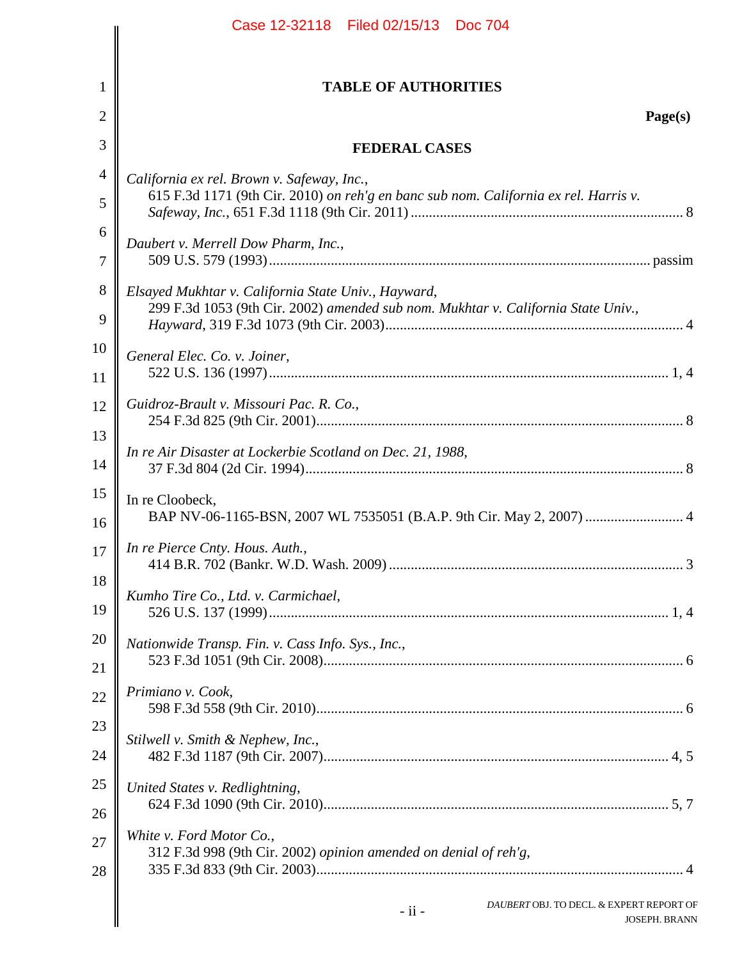|                | Case 12-32118 Filed 02/15/13 Doc 704                                                                                                     |
|----------------|------------------------------------------------------------------------------------------------------------------------------------------|
| $\mathbf{1}$   | <b>TABLE OF AUTHORITIES</b>                                                                                                              |
| $\overline{2}$ | Page(s)                                                                                                                                  |
| 3              | <b>FEDERAL CASES</b>                                                                                                                     |
|                | California ex rel. Brown v. Safeway, Inc.,                                                                                               |
|                | 615 F.3d 1171 (9th Cir. 2010) on reh'g en banc sub nom. California ex rel. Harris v.                                                     |
|                | Daubert v. Merrell Dow Pharm, Inc.,                                                                                                      |
|                | Elsayed Mukhtar v. California State Univ., Hayward,<br>299 F.3d 1053 (9th Cir. 2002) amended sub nom. Mukhtar v. California State Univ., |
|                | General Elec. Co. v. Joiner,                                                                                                             |
|                | Guidroz-Brault v. Missouri Pac. R. Co.,                                                                                                  |
|                | In re Air Disaster at Lockerbie Scotland on Dec. 21, 1988,                                                                               |
|                | In re Cloobeck,<br>BAP NV-06-1165-BSN, 2007 WL 7535051 (B.A.P. 9th Cir. May 2, 2007)  4                                                  |
|                | In re Pierce Cnty. Hous. Auth.,                                                                                                          |
|                | Kumho Tire Co., Ltd. v. Carmichael,                                                                                                      |
|                | Nationwide Transp. Fin. v. Cass Info. Sys., Inc.,                                                                                        |
|                | Primiano v. Cook,                                                                                                                        |
|                | Stilwell v. Smith & Nephew, Inc.,                                                                                                        |
|                | United States v. Redlightning,                                                                                                           |
|                | White v. Ford Motor Co.,<br>312 F.3d 998 (9th Cir. 2002) opinion amended on denial of reh'g,                                             |
|                | DAUBERT OBJ. TO DECL. & EXPERT REPORT OF<br>$-ii -$<br><b>JOSEPH. BRANN</b>                                                              |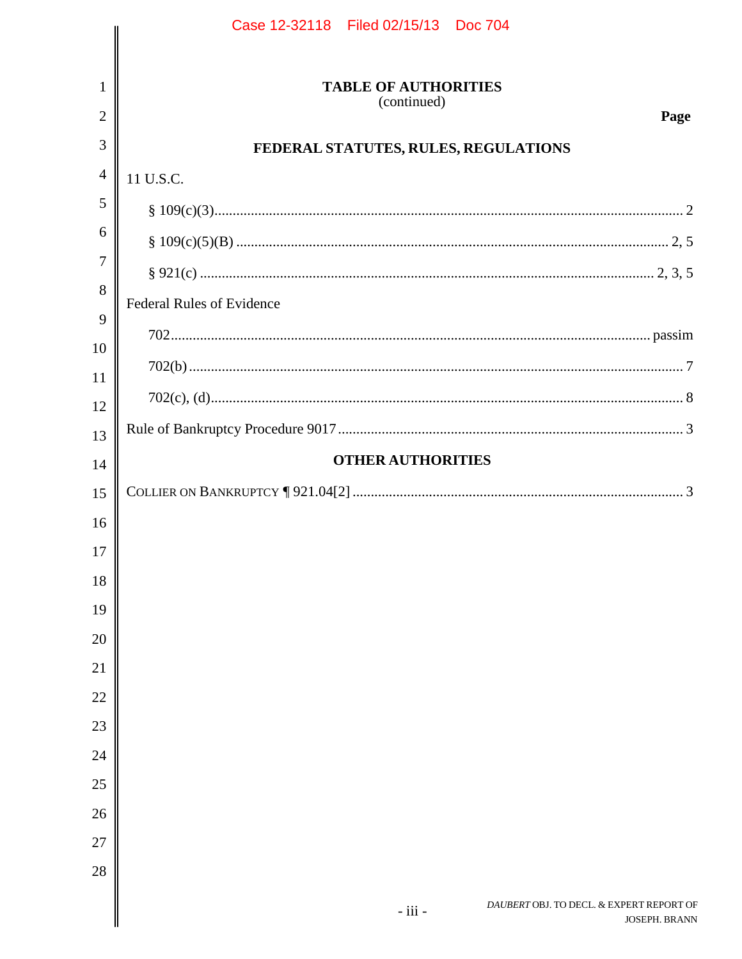|                | Case 12-32118 Filed 02/15/13 Doc 704                    |
|----------------|---------------------------------------------------------|
|                |                                                         |
| 1              | <b>TABLE OF AUTHORITIES</b>                             |
| $\overline{2}$ | (continued)<br>Page                                     |
| 3              | FEDERAL STATUTES, RULES, REGULATIONS                    |
| $\overline{4}$ | 11 U.S.C.                                               |
| 5              |                                                         |
| 6              |                                                         |
| $\overline{7}$ |                                                         |
| 8              | <b>Federal Rules of Evidence</b>                        |
| 9              |                                                         |
| 10             |                                                         |
| 11             |                                                         |
| 12             |                                                         |
| 13             | <b>OTHER AUTHORITIES</b>                                |
| 14             |                                                         |
| 15             |                                                         |
| 16             |                                                         |
| 17             |                                                         |
| 18             |                                                         |
| 19             |                                                         |
| 20<br>21       |                                                         |
| 22             |                                                         |
| 23             |                                                         |
| 24             |                                                         |
| 25             |                                                         |
| 26             |                                                         |
| 27             |                                                         |
| 28             |                                                         |
|                | DAUBERT OBJ. TO DECL. & EXPERT REPORT OF<br>$-$ iii $-$ |
|                | JOSEPH. BRANN                                           |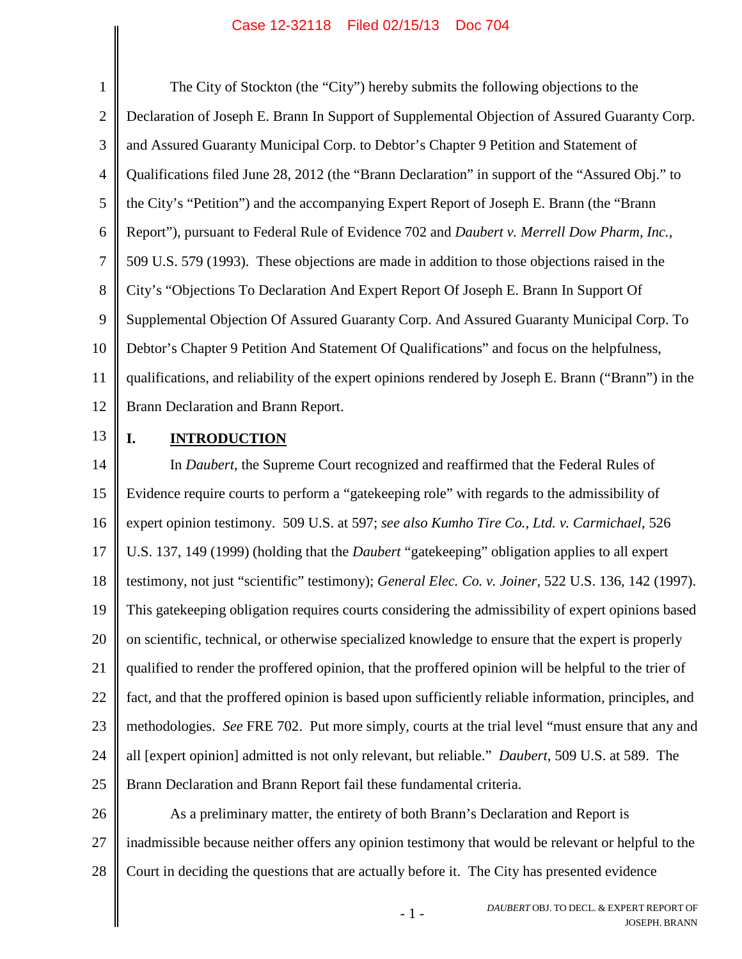<span id="page-4-3"></span><span id="page-4-0"></span>1 2 3 4 5 6 7 8 9 10 11 12 The City of Stockton (the "City") hereby submits the following objections to the Declaration of Joseph E. Brann In Support of Supplemental Objection of Assured Guaranty Corp. and Assured Guaranty Municipal Corp. to Debtor's Chapter 9 Petition and Statement of Qualifications filed June 28, 2012 (the "Brann Declaration" in support of the "Assured Obj." to the City's "Petition") and the accompanying Expert Report of Joseph E. Brann (the "Brann Report"), pursuant to Federal Rule of Evidence 702 and *Daubert v. Merrell Dow Pharm, Inc.*, 509 U.S. 579 (1993). These objections are made in addition to those objections raised in the City's "Objections To Declaration And Expert Report Of Joseph E. Brann In Support Of Supplemental Objection Of Assured Guaranty Corp. And Assured Guaranty Municipal Corp. To Debtor's Chapter 9 Petition And Statement Of Qualifications" and focus on the helpfulness, qualifications, and reliability of the expert opinions rendered by Joseph E. Brann ("Brann") in the Brann Declaration and Brann Report.

13

# <span id="page-4-2"></span><span id="page-4-1"></span>**I. INTRODUCTION**

14 15 16 17 18 19 20 21 22 23 24 25 In *Daubert*, the Supreme Court recognized and reaffirmed that the Federal Rules of Evidence require courts to perform a "gatekeeping role" with regards to the admissibility of expert opinion testimony. 509 U.S. at 597; *see also Kumho Tire Co., Ltd. v. Carmichael*, 526 U.S. 137, 149 (1999) (holding that the *Daubert* "gatekeeping" obligation applies to all expert testimony, not just "scientific" testimony); *General Elec. Co. v. Joiner*, 522 U.S. 136, 142 (1997). This gatekeeping obligation requires courts considering the admissibility of expert opinions based on scientific, technical, or otherwise specialized knowledge to ensure that the expert is properly qualified to render the proffered opinion, that the proffered opinion will be helpful to the trier of fact, and that the proffered opinion is based upon sufficiently reliable information, principles, and methodologies. *See* FRE 702. Put more simply, courts at the trial level "must ensure that any and all [expert opinion] admitted is not only relevant, but reliable." *Daubert*, 509 U.S. at 589. The Brann Declaration and Brann Report fail these fundamental criteria.

26 27 28 As a preliminary matter, the entirety of both Brann's Declaration and Report is inadmissible because neither offers any opinion testimony that would be relevant or helpful to the Court in deciding the questions that are actually before it. The City has presented evidence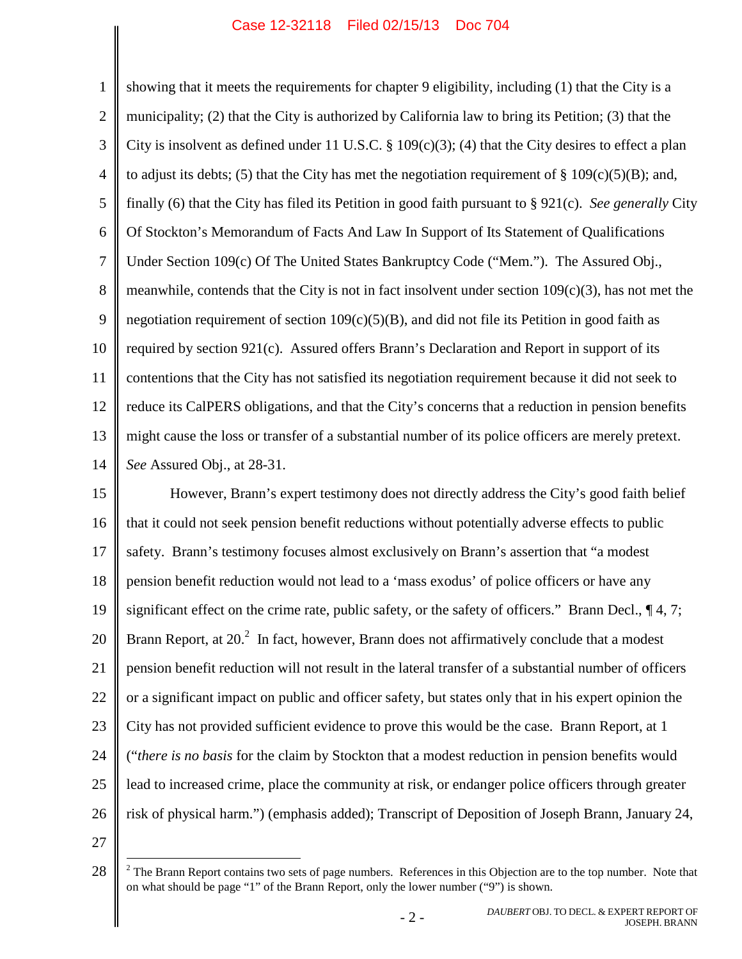<span id="page-5-2"></span><span id="page-5-1"></span><span id="page-5-0"></span>1 2 3 4 5 6 7 8 9 10 11 12 13 14 showing that it meets the requirements for chapter 9 eligibility, including (1) that the City is a municipality; (2) that the City is authorized by California law to bring its Petition; (3) that the City is insolvent as defined under 11 U.S.C.  $\S$  109(c)(3); (4) that the City desires to effect a plan to adjust its debts; (5) that the City has met the negotiation requirement of  $\S$  109(c)(5)(B); and, finally (6) that the City has filed its Petition in good faith pursuant to § 921(c). *See generally* City Of Stockton's Memorandum of Facts And Law In Support of Its Statement of Qualifications Under Section 109(c) Of The United States Bankruptcy Code ("Mem."). The Assured Obj., meanwhile, contends that the City is not in fact insolvent under section  $109(c)(3)$ , has not met the negotiation requirement of section  $109(c)(5)(B)$ , and did not file its Petition in good faith as required by section  $921(c)$ . Assured offers Brann's Declaration and Report in support of its contentions that the City has not satisfied its negotiation requirement because it did not seek to reduce its CalPERS obligations, and that the City's concerns that a reduction in pension benefits might cause the loss or transfer of a substantial number of its police officers are merely pretext. *See* Assured Obj., at 28-31.

15 16 17 18 19 20 21 22 23 24 25 26 However, Brann's expert testimony does not directly address the City's good faith belief that it could not seek pension benefit reductions without potentially adverse effects to public safety. Brann's testimony focuses almost exclusively on Brann's assertion that "a modest pension benefit reduction would not lead to a 'mass exodus' of police officers or have any significant effect on the crime rate, public safety, or the safety of officers." Brann Decl.,  $\P$ 4, 7; BrannReport, at  $20<sup>2</sup>$  In fact, however, Brann does not affirmatively conclude that a modest pension benefit reduction will not result in the lateral transfer of a substantial number of officers or a significant impact on public and officer safety, but states only that in his expert opinion the City has not provided sufficient evidence to prove this would be the case. Brann Report, at 1 ("*there is no basis* for the claim by Stockton that a modest reduction in pension benefits would lead to increased crime, place the community at risk, or endanger police officers through greater risk of physical harm.") (emphasis added); Transcript of Deposition of Joseph Brann, January 24,

<span id="page-5-3"></span><sup>28</sup>  $2^2$  The Brann Report contains two sets of page numbers. References in this Objection are to the top number. Note that on what should be page "1" of the Brann Report, only the lower number ("9") is shown.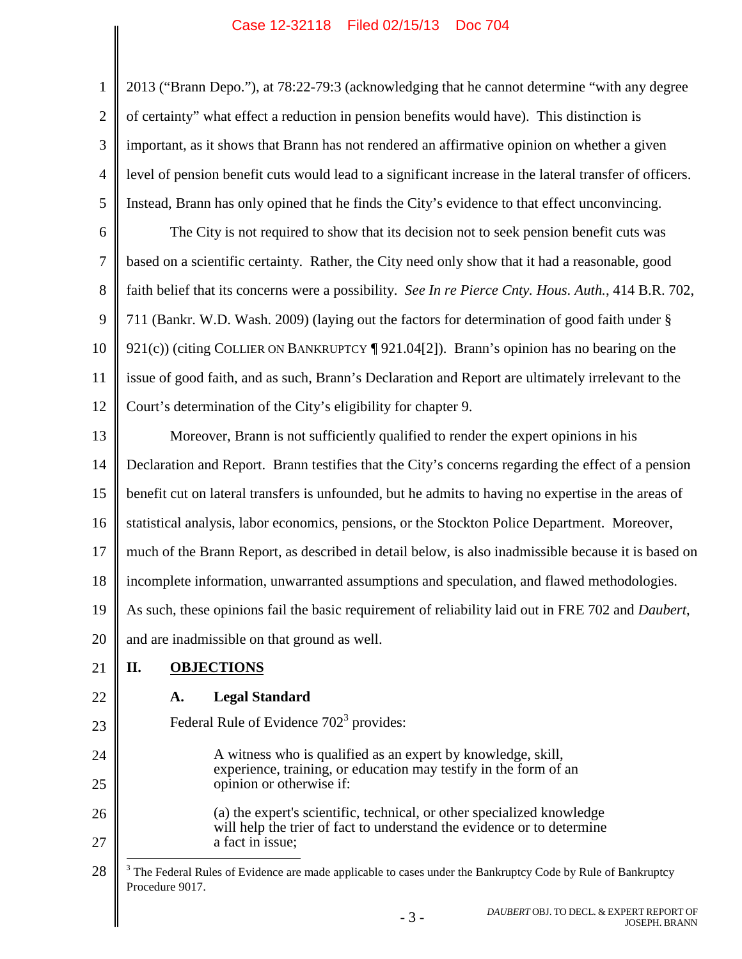1 2 3 4 5 2013 ("Brann Depo."), at 78:22-79:3 (acknowledging that he cannot determine "with any degree of certainty" what effect a reduction in pension benefits would have). This distinction is important, as it shows that Brann has not rendered an affirmative opinion on whether a given level of pension benefit cuts would lead to a significant increase in the lateral transfer of officers. Instead, Brann has only opined that he finds the City's evidence to that effect unconvincing.

<span id="page-6-3"></span><span id="page-6-1"></span><span id="page-6-0"></span>6 7 8 9 10 11 12 The City is not required to show that its decision not to seek pension benefit cuts was based on a scientific certainty. Rather, the City need only show that it had a reasonable, good faith belief that its concerns were a possibility. *See In re Pierce Cnty. Hous. Auth.*, 414 B.R. 702, 711 (Bankr. W.D. Wash. 2009) (laying out the factors for determination of good faith under § 921(c)) (citing COLLIER ON BANKRUPTCY [921.04[2]). Brann's opinion has no bearing on the issue of good faith, and as such, Brann's Declaration and Report are ultimately irrelevant to the Court's determination of the City's eligibility for chapter 9.

13 14 15 16 17 18 19 20 Moreover, Brann is not sufficiently qualified to render the expert opinions in his Declaration and Report. Brann testifies that the City's concerns regarding the effect of a pension benefit cut on lateral transfers is unfounded, but he admits to having no expertise in the areas of statistical analysis, labor economics, pensions, or the Stockton Police Department. Moreover, much of the Brann Report, as described in detail below, is also inadmissible because it is based on incomplete information, unwarranted assumptions and speculation, and flawed methodologies. As such, these opinions fail the basic requirement of reliability laid out in FRE 702 and *Daubert*, and are inadmissible on that ground as well.

#### 21 **II. OBJECTIONS**

# **A. Legal Standard**

22

23

24

25

FederalRule of Evidence  $702<sup>3</sup>$  $702<sup>3</sup>$  $702<sup>3</sup>$  provides:

<span id="page-6-2"></span>A witness who is qualified as an expert by knowledge, skill, experience, training, or education may testify in the form of an opinion or otherwise if:

26 27 (a) the expert's scientific, technical, or other specialized knowledge will help the trier of fact to understand the evidence or to determine a fact in issue;

<span id="page-6-4"></span>28 <sup>3</sup> The Federal Rules of Evidence are made applicable to cases under the Bankruptcy Code by Rule of Bankruptcy Procedure 9017.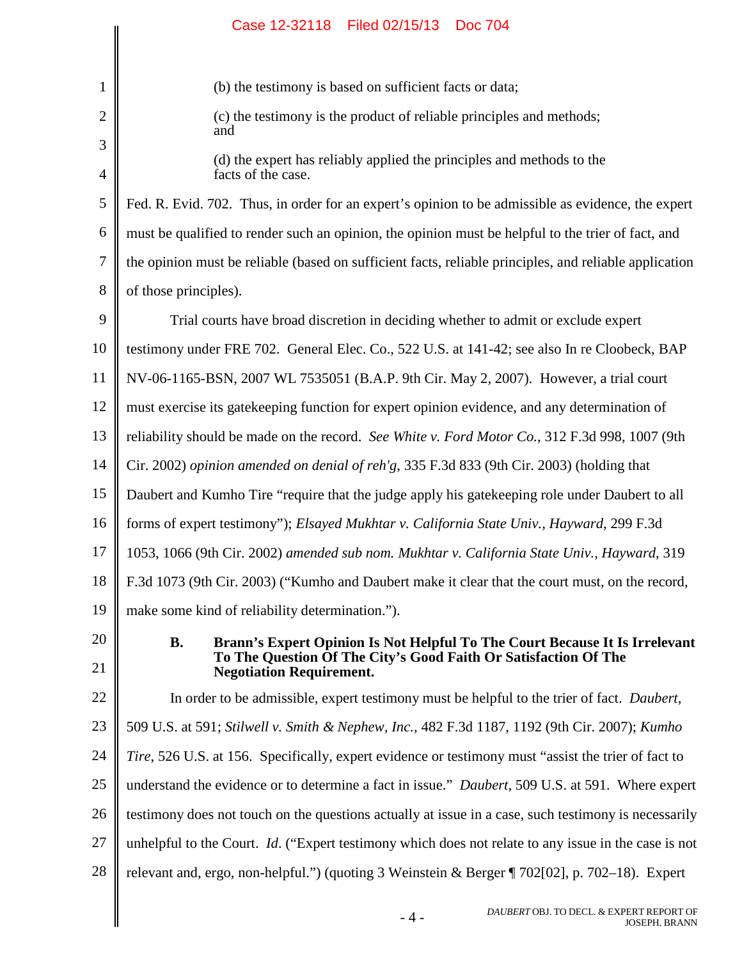<span id="page-7-5"></span><span id="page-7-4"></span><span id="page-7-3"></span><span id="page-7-2"></span><span id="page-7-1"></span><span id="page-7-0"></span>

|                     | Filed 02/15/13<br><b>Doc 704</b><br>Case 12-32118                                                                                                           |
|---------------------|-------------------------------------------------------------------------------------------------------------------------------------------------------------|
|                     |                                                                                                                                                             |
| $\mathbf{1}$        | (b) the testimony is based on sufficient facts or data;                                                                                                     |
| $\mathbf{2}$        | (c) the testimony is the product of reliable principles and methods;<br>and                                                                                 |
| $\mathfrak{Z}$<br>4 | (d) the expert has reliably applied the principles and methods to the<br>facts of the case.                                                                 |
| 5                   | Fed. R. Evid. 702. Thus, in order for an expert's opinion to be admissible as evidence, the expert                                                          |
| 6                   |                                                                                                                                                             |
|                     | must be qualified to render such an opinion, the opinion must be helpful to the trier of fact, and                                                          |
| 7                   | the opinion must be reliable (based on sufficient facts, reliable principles, and reliable application                                                      |
| 8                   | of those principles).                                                                                                                                       |
| 9                   | Trial courts have broad discretion in deciding whether to admit or exclude expert                                                                           |
| 10                  | testimony under FRE 702. General Elec. Co., 522 U.S. at 141-42; see also In re Cloobeck, BAP                                                                |
| 11                  | NV-06-1165-BSN, 2007 WL 7535051 (B.A.P. 9th Cir. May 2, 2007). However, a trial court                                                                       |
| 12                  | must exercise its gate keeping function for expert opinion evidence, and any determination of                                                               |
| 13                  | reliability should be made on the record. See White v. Ford Motor Co., 312 F.3d 998, 1007 (9th                                                              |
| 14                  | Cir. 2002) opinion amended on denial of reh'g, 335 F.3d 833 (9th Cir. 2003) (holding that                                                                   |
| 15                  | Daubert and Kumho Tire "require that the judge apply his gatekeeping role under Daubert to all                                                              |
| 16                  | forms of expert testimony"); Elsayed Mukhtar v. California State Univ., Hayward, 299 F.3d                                                                   |
| 17                  | 1053, 1066 (9th Cir. 2002) amended sub nom. Mukhtar v. California State Univ., Hayward, 319                                                                 |
| 18                  | F.3d 1073 (9th Cir. 2003) ("Kumho and Daubert make it clear that the court must, on the record,                                                             |
| 19                  | make some kind of reliability determination.").                                                                                                             |
| 20                  | <b>B.</b><br>Brann's Expert Opinion Is Not Helpful To The Court Because It Is Irrelevant<br>To The Question Of The City's Good Faith Or Satisfaction Of The |
| 21                  | <b>Negotiation Requirement.</b>                                                                                                                             |
| 22                  | In order to be admissible, expert testimony must be helpful to the trier of fact. Daubert,                                                                  |
| 23                  | 509 U.S. at 591; Stilwell v. Smith & Nephew, Inc., 482 F.3d 1187, 1192 (9th Cir. 2007); Kumho                                                               |
| 24                  | Tire, 526 U.S. at 156. Specifically, expert evidence or testimony must "assist the trier of fact to                                                         |
| 25                  | understand the evidence or to determine a fact in issue." Daubert, 509 U.S. at 591. Where expert                                                            |
| 26                  | testimony does not touch on the questions actually at issue in a case, such testimony is necessarily                                                        |
| 27                  | unhelpful to the Court. <i>Id.</i> ("Expert testimony which does not relate to any issue in the case is not                                                 |
| 28                  | relevant and, ergo, non-helpful.") (quoting 3 Weinstein & Berger ¶ 702[02], p. 702–18). Expert                                                              |
|                     | DAUBERT OBJ. TO DECL. & EXPERT REPORT OF<br>$-4-$<br><b>JOSEPH. BRANN</b>                                                                                   |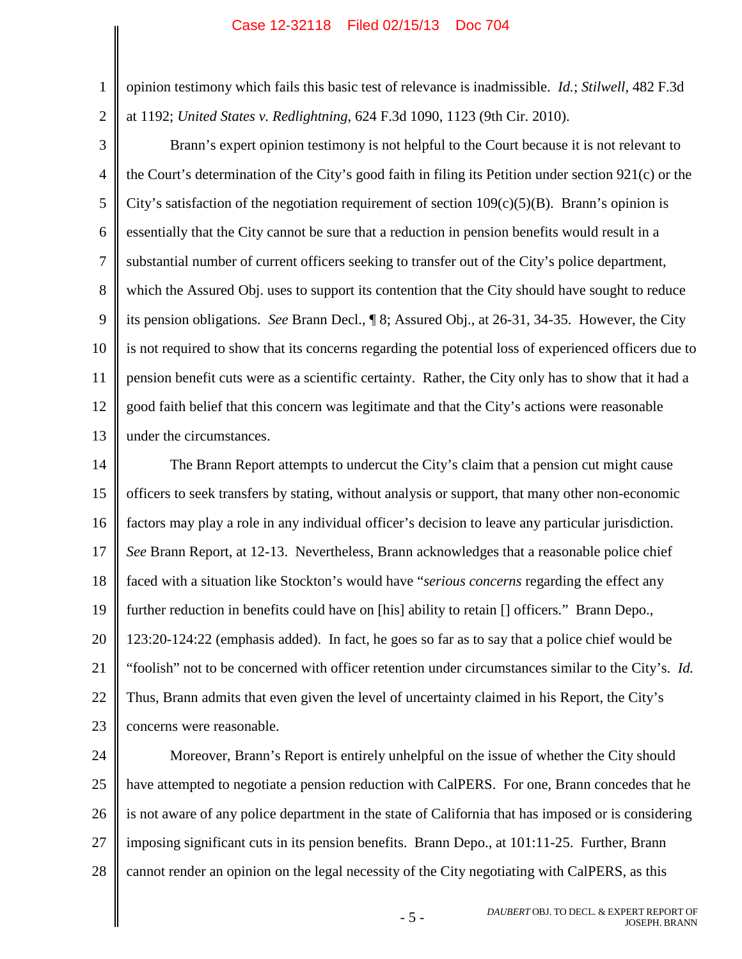<span id="page-8-3"></span><span id="page-8-2"></span><span id="page-8-1"></span><span id="page-8-0"></span>opinion testimony which fails this basic test of relevance is inadmissible. *Id.*; *Stilwell*, 482 F.3d at 1192; *United States v. Redlightning*, 624 F.3d 1090, 1123 (9th Cir. 2010).

2 3

1

4 5 6 7 8 9 10 11 12 13 Brann's expert opinion testimony is not helpful to the Court because it is not relevant to the Court's determination of the City's good faith in filing its Petition under section 921(c) or the City's satisfaction of the negotiation requirement of section  $109(c)(5)(B)$ . Brann's opinion is essentially that the City cannot be sure that a reduction in pension benefits would result in a substantial number of current officers seeking to transfer out of the City's police department, which the Assured Obj. uses to support its contention that the City should have sought to reduce its pension obligations. *See* Brann Decl., ¶ 8; Assured Obj., at 26-31, 34-35. However, the City is not required to show that its concerns regarding the potential loss of experienced officers due to pension benefit cuts were as a scientific certainty. Rather, the City only has to show that it had a good faith belief that this concern was legitimate and that the City's actions were reasonable under the circumstances.

14 15 16 17 18 19 20 21 22 23 The Brann Report attempts to undercut the City's claim that a pension cut might cause officers to seek transfers by stating, without analysis or support, that many other non-economic factors may play a role in any individual officer's decision to leave any particular jurisdiction. *See* Brann Report, at 12-13. Nevertheless, Brann acknowledges that a reasonable police chief faced with a situation like Stockton's would have "*serious concerns* regarding the effect any further reduction in benefits could have on [his] ability to retain [] officers." Brann Depo., 123:20-124:22 (emphasis added). In fact, he goes so far as to say that a police chief would be "foolish" not to be concerned with officer retention under circumstances similar to the City's. *Id.* Thus, Brann admits that even given the level of uncertainty claimed in his Report, the City's concerns were reasonable.

24 25 26 27 28 Moreover, Brann's Report is entirely unhelpful on the issue of whether the City should have attempted to negotiate a pension reduction with CalPERS. For one, Brann concedes that he is not aware of any police department in the state of California that has imposed or is considering imposing significant cuts in its pension benefits. Brann Depo., at 101:11-25. Further, Brann cannot render an opinion on the legal necessity of the City negotiating with CalPERS, as this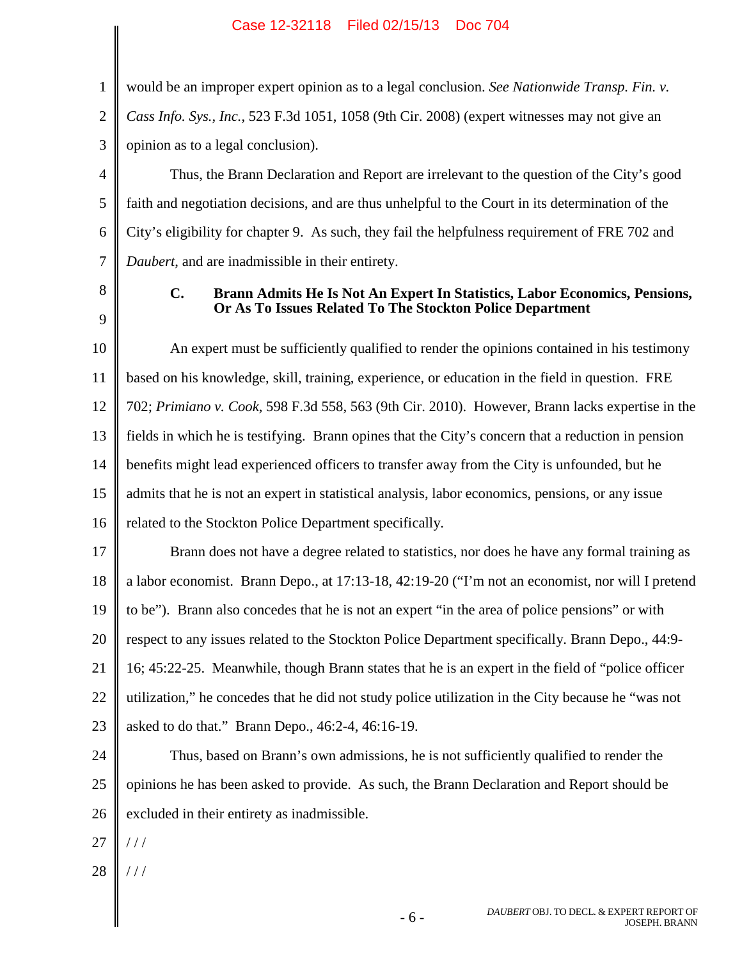<span id="page-9-1"></span><span id="page-9-0"></span>1 2 3 4 5 6 7 8 9 10 11 12 13 14 15 16 17 18 19 20 21 22 23 24 25 26 27 28 would be an improper expert opinion as to a legal conclusion. *See Nationwide Transp. Fin. v. Cass Info. Sys., Inc.*, 523 F.3d 1051, 1058 (9th Cir. 2008) (expert witnesses may not give an opinion as to a legal conclusion). Thus, the Brann Declaration and Report are irrelevant to the question of the City's good faith and negotiation decisions, and are thus unhelpful to the Court in its determination of the City's eligibility for chapter 9. As such, they fail the helpfulness requirement of FRE 702 and *Daubert*, and are inadmissible in their entirety. **C. Brann Admits He Is Not An Expert In Statistics, Labor Economics, Pensions, Or As To Issues Related To The Stockton Police Department** An expert must be sufficiently qualified to render the opinions contained in his testimony based on his knowledge, skill, training, experience, or education in the field in question. FRE 702; *Primiano v. Cook*, 598 F.3d 558, 563 (9th Cir. 2010). However, Brann lacks expertise in the fields in which he is testifying. Brann opines that the City's concern that a reduction in pension benefits might lead experienced officers to transfer away from the City is unfounded, but he admits that he is not an expert in statistical analysis, labor economics, pensions, or any issue related to the Stockton Police Department specifically. Brann does not have a degree related to statistics, nor does he have any formal training as a labor economist. Brann Depo., at 17:13-18, 42:19-20 ("I'm not an economist, nor will I pretend to be"). Brann also concedes that he is not an expert "in the area of police pensions" or with respect to any issues related to the Stockton Police Department specifically. Brann Depo., 44:9- 16; 45:22-25. Meanwhile, though Brann states that he is an expert in the field of "police officer utilization," he concedes that he did not study police utilization in the City because he "was not asked to do that." Brann Depo., 46:2-4, 46:16-19. Thus, based on Brann's own admissions, he is not sufficiently qualified to render the opinions he has been asked to provide. As such, the Brann Declaration and Report should be excluded in their entirety as inadmissible.  $//$ / / /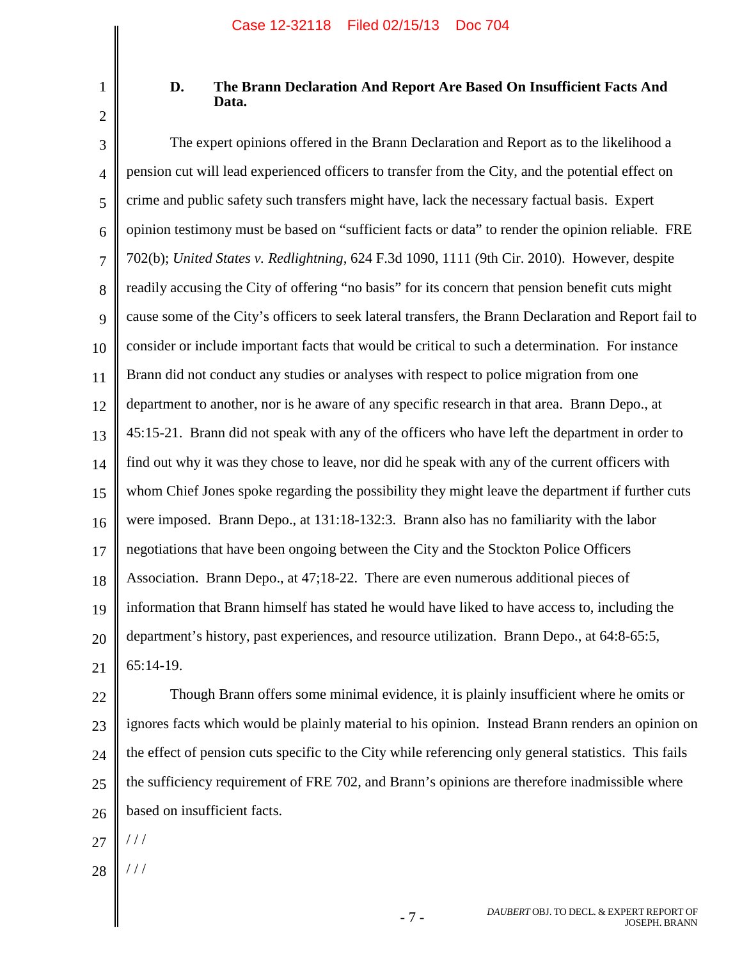1 2

# <span id="page-10-1"></span>**D. The Brann Declaration And Report Are Based On Insufficient Facts And Data.**

<span id="page-10-0"></span>3 4 5 6 7 8 9 10 11 12 13 14 15 16 17 18 19 20 21 The expert opinions offered in the Brann Declaration and Report as to the likelihood a pension cut will lead experienced officers to transfer from the City, and the potential effect on crime and public safety such transfers might have, lack the necessary factual basis. Expert opinion testimony must be based on "sufficient facts or data" to render the opinion reliable. FRE 702(b); *United States v. Redlightning*, 624 F.3d 1090, 1111 (9th Cir. 2010). However, despite readily accusing the City of offering "no basis" for its concern that pension benefit cuts might cause some of the City's officers to seek lateral transfers, the Brann Declaration and Report fail to consider or include important facts that would be critical to such a determination. For instance Brann did not conduct any studies or analyses with respect to police migration from one department to another, nor is he aware of any specific research in that area. Brann Depo., at 45:15-21. Brann did not speak with any of the officers who have left the department in order to find out why it was they chose to leave, nor did he speak with any of the current officers with whom Chief Jones spoke regarding the possibility they might leave the department if further cuts were imposed. Brann Depo., at 131:18-132:3. Brann also has no familiarity with the labor negotiations that have been ongoing between the City and the Stockton Police Officers Association. Brann Depo., at 47;18-22. There are even numerous additional pieces of information that Brann himself has stated he would have liked to have access to, including the department's history, past experiences, and resource utilization. Brann Depo., at 64:8-65:5, 65:14-19.

22 23 24 25 26 Though Brann offers some minimal evidence, it is plainly insufficient where he omits or ignores facts which would be plainly material to his opinion. Instead Brann renders an opinion on the effect of pension cuts specific to the City while referencing only general statistics. This fails the sufficiency requirement of FRE 702, and Brann's opinions are therefore inadmissible where based on insufficient facts.

27 / / /

28 / / /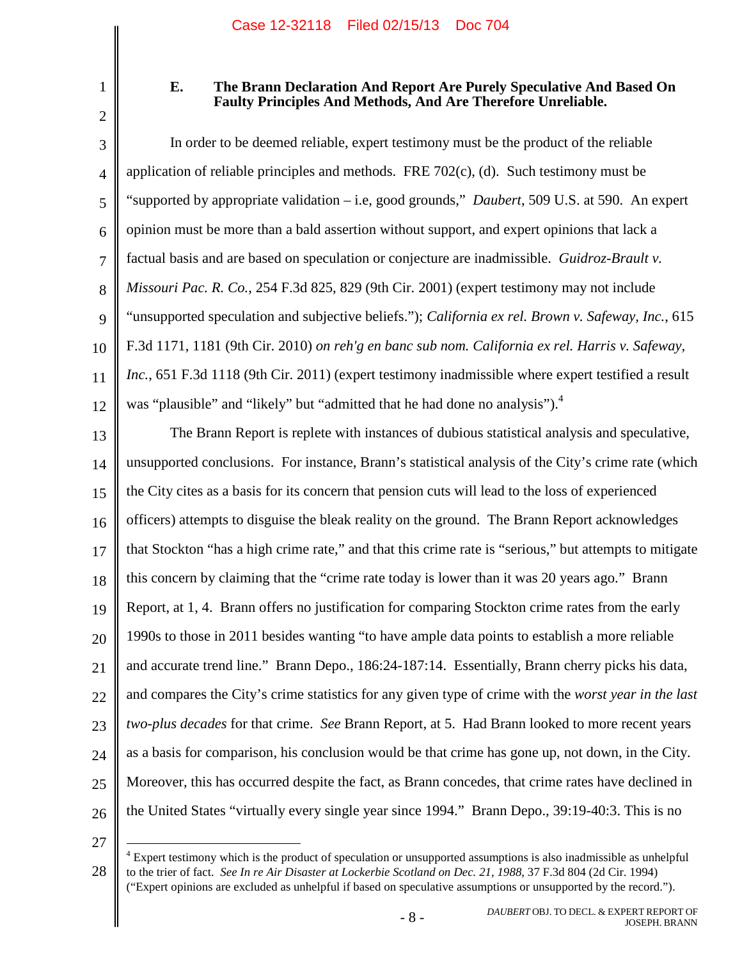1 2

## <span id="page-11-3"></span><span id="page-11-1"></span><span id="page-11-0"></span>**E. The Brann Declaration And Report Are Purely Speculative And Based On Faulty Principles And Methods, And Are Therefore Unreliable.**

3 4 5 6 7 8 9 10 11 12 In order to be deemed reliable, expert testimony must be the product of the reliable application of reliable principles and methods. FRE  $702(c)$ , (d). Such testimony must be "supported by appropriate validation – i.e, good grounds," *Daubert*, 509 U.S. at 590. An expert opinion must be more than a bald assertion without support, and expert opinions that lack a factual basis and are based on speculation or conjecture are inadmissible. *Guidroz-Brault v. Missouri Pac. R. Co.*, 254 F.3d 825, 829 (9th Cir. 2001) (expert testimony may not include "unsupported speculation and subjective beliefs."); *California ex rel. Brown v. Safeway, Inc.*, 615 F.3d 1171, 1181 (9th Cir. 2010) *on reh'g en banc sub nom. California ex rel. Harris v. Safeway, Inc.*, 651 F.3d 1118 (9th Cir. 2011) (expert testimony inadmissible where expert testified a result was "plausible" and "likely" but "admitted that he had done no analysis").<sup>4</sup>

13 14 15 16 17 18 19 20 21 22 23 24 25 26 The Brann Report is replete with instances of dubious statistical analysis and speculative, unsupported conclusions. For instance, Brann's statistical analysis of the City's crime rate (which the City cites as a basis for its concern that pension cuts will lead to the loss of experienced officers) attempts to disguise the bleak reality on the ground. The Brann Report acknowledges that Stockton "has a high crime rate," and that this crime rate is "serious," but attempts to mitigate this concern by claiming that the "crime rate today is lower than it was 20 years ago." Brann Report, at 1, 4. Brann offers no justification for comparing Stockton crime rates from the early 1990s to those in 2011 besides wanting "to have ample data points to establish a more reliable and accurate trend line." Brann Depo., 186:24-187:14. Essentially, Brann cherry picks his data, and compares the City's crime statistics for any given type of crime with the *worst year in the last two-plus decades* for that crime. *See* Brann Report, at 5. Had Brann looked to more recent years as a basis for comparison, his conclusion would be that crime has gone up, not down, in the City. Moreover, this has occurred despite the fact, as Brann concedes, that crime rates have declined in the United States "virtually every single year since 1994." Brann Depo., 39:19-40:3. This is no

<span id="page-11-2"></span><sup>28</sup>  $4$  Expert testimony which is the product of speculation or unsupported assumptions is also inadmissible as unhelpful to the trier of fact. *See In re Air Disaster at Lockerbie Scotland on Dec. 21, 1988*, 37 F.3d 804 (2d Cir. 1994) ("Expert opinions are excluded as unhelpful if based on speculative assumptions or unsupported by the record.").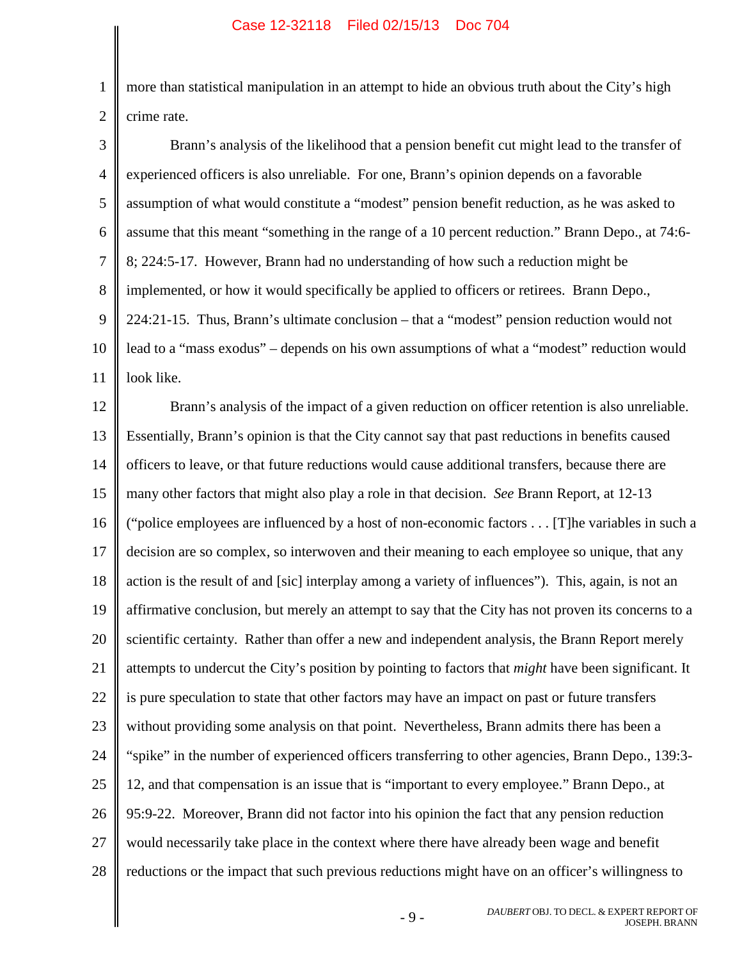1 2 more than statistical manipulation in an attempt to hide an obvious truth about the City's high crime rate.

3 4 5 6 7 8 9 10 11 Brann's analysis of the likelihood that a pension benefit cut might lead to the transfer of experienced officers is also unreliable. For one, Brann's opinion depends on a favorable assumption of what would constitute a "modest" pension benefit reduction, as he was asked to assume that this meant "something in the range of a 10 percent reduction." Brann Depo., at 74:6- 8; 224:5-17. However, Brann had no understanding of how such a reduction might be implemented, or how it would specifically be applied to officers or retirees. Brann Depo., 224:21-15. Thus, Brann's ultimate conclusion – that a "modest" pension reduction would not lead to a "mass exodus" – depends on his own assumptions of what a "modest" reduction would look like.

12 13 14 15 16 17 18 19 20 21 22 23 24 25 26 27 28 Brann's analysis of the impact of a given reduction on officer retention is also unreliable. Essentially, Brann's opinion is that the City cannot say that past reductions in benefits caused officers to leave, or that future reductions would cause additional transfers, because there are many other factors that might also play a role in that decision. *See* Brann Report, at 12-13 ("police employees are influenced by a host of non-economic factors . . . [T]he variables in such a decision are so complex, so interwoven and their meaning to each employee so unique, that any action is the result of and [sic] interplay among a variety of influences"). This, again, is not an affirmative conclusion, but merely an attempt to say that the City has not proven its concerns to a scientific certainty. Rather than offer a new and independent analysis, the Brann Report merely attempts to undercut the City's position by pointing to factors that *might* have been significant. It is pure speculation to state that other factors may have an impact on past or future transfers without providing some analysis on that point. Nevertheless, Brann admits there has been a "spike" in the number of experienced officers transferring to other agencies, Brann Depo., 139:3- 12, and that compensation is an issue that is "important to every employee." Brann Depo., at 95:9-22. Moreover, Brann did not factor into his opinion the fact that any pension reduction would necessarily take place in the context where there have already been wage and benefit reductions or the impact that such previous reductions might have on an officer's willingness to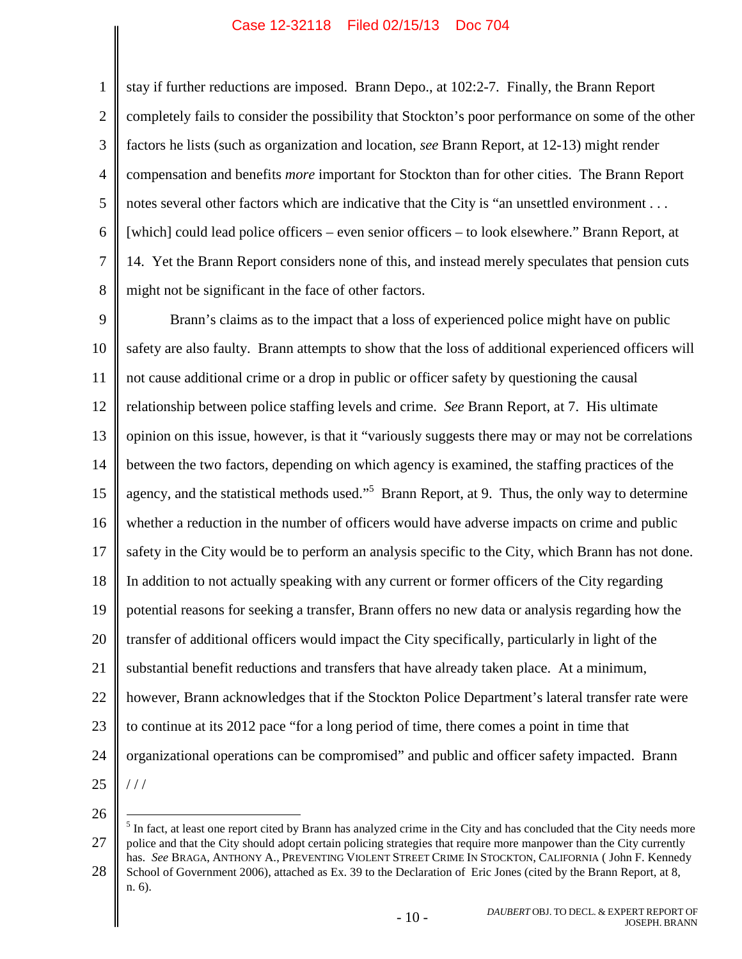2 3 4 5 6 7 8 stay if further reductions are imposed. Brann Depo., at 102:2-7. Finally, the Brann Report completely fails to consider the possibility that Stockton's poor performance on some of the other factors he lists (such as organization and location, *see* Brann Report, at 12-13) might render compensation and benefits *more* important for Stockton than for other cities. The Brann Report notes several other factors which are indicative that the City is "an unsettled environment . . . [which] could lead police officers – even senior officers – to look elsewhere." Brann Report, at 14. Yet the Brann Report considers none of this, and instead merely speculates that pension cuts might not be significant in the face of other factors.

9 10 11 12 13 14 15 16 17 18 19 20 21 22 23 24 25 Brann's claims as to the impact that a loss of experienced police might have on public safety are also faulty. Brann attempts to show that the loss of additional experienced officers will not cause additional crime or a drop in public or officer safety by questioning the causal relationship between police staffing levels and crime. *See* Brann Report, at 7. His ultimate opinion on this issue, however, is that it "variously suggests there may or may not be correlations between the two factors, depending on which agency is examined, the staffing practices of the agency, and the statistical methods used."<sup>[5](#page-13-0)</sup> Brann Report, at 9. Thus, the only way to determine whether a reduction in the number of officers would have adverse impacts on crime and public safety in the City would be to perform an analysis specific to the City, which Brann has not done. In addition to not actually speaking with any current or former officers of the City regarding potential reasons for seeking a transfer, Brann offers no new data or analysis regarding how the transfer of additional officers would impact the City specifically, particularly in light of the substantial benefit reductions and transfers that have already taken place. At a minimum, however, Brann acknowledges that if the Stockton Police Department's lateral transfer rate were to continue at its 2012 pace "for a long period of time, there comes a point in time that organizational operations can be compromised" and public and officer safety impacted. Brann / / /

26

<span id="page-13-0"></span><sup>27</sup>  $<sup>5</sup>$  In fact, at least one report cited by Brann has analyzed crime in the City and has concluded that the City needs more</sup> police and that the City should adopt certain policing strategies that require more manpower than the City currently has. *See* BRAGA, ANTHONY A., PREVENTING VIOLENT STREET CRIME IN STOCKTON, CALIFORNIA ( John F. Kennedy

<sup>28</sup> School of Government 2006), attached as Ex. 39 to the Declaration of Eric Jones (cited by the Brann Report, at 8, n. 6).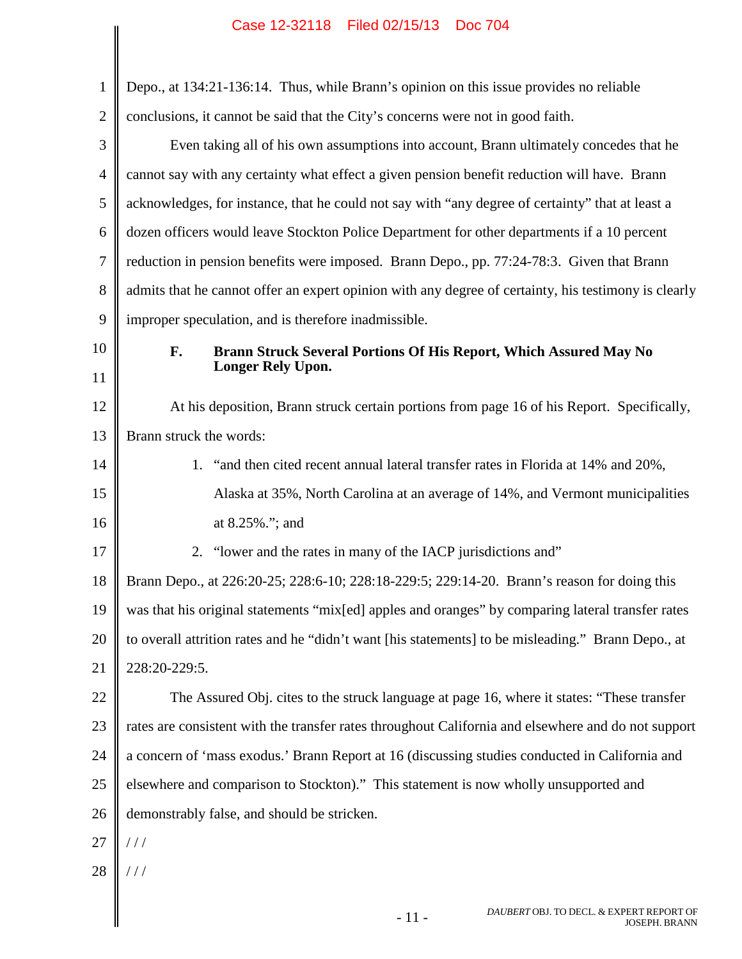|                | Case 12-32110 Filed 02/13/13 DOC 704                                                                 |
|----------------|------------------------------------------------------------------------------------------------------|
| $\mathbf{1}$   | Depo., at 134:21-136:14. Thus, while Brann's opinion on this issue provides no reliable              |
| $\overline{2}$ | conclusions, it cannot be said that the City's concerns were not in good faith.                      |
| 3              | Even taking all of his own assumptions into account, Brann ultimately concedes that he               |
| $\overline{4}$ | cannot say with any certainty what effect a given pension benefit reduction will have. Brann         |
| 5              | acknowledges, for instance, that he could not say with "any degree of certainty" that at least a     |
| 6              | dozen officers would leave Stockton Police Department for other departments if a 10 percent          |
| 7              | reduction in pension benefits were imposed. Brann Depo., pp. 77:24-78:3. Given that Brann            |
| 8              | admits that he cannot offer an expert opinion with any degree of certainty, his testimony is clearly |
| 9              | improper speculation, and is therefore inadmissible.                                                 |
| 10             | F.<br>Brann Struck Several Portions Of His Report, Which Assured May No                              |
| 11             | <b>Longer Rely Upon.</b>                                                                             |
| 12             | At his deposition, Brann struck certain portions from page 16 of his Report. Specifically,           |
| 13             | Brann struck the words:                                                                              |
| 14             | 1. "and then cited recent annual lateral transfer rates in Florida at 14% and 20%,                   |
| 15             | Alaska at 35%, North Carolina at an average of 14%, and Vermont municipalities                       |
| 16             | at 8.25%."; and                                                                                      |
| 17             | "lower and the rates in many of the IACP jurisdictions and"<br>2.                                    |
| 18             | Brann Depo., at 226:20-25; 228:6-10; 228:18-229:5; 229:14-20. Brann's reason for doing this          |
| 19             | was that his original statements "mix[ed] apples and oranges" by comparing lateral transfer rates    |
| 20             | to overall attrition rates and he "didn't want [his statements] to be misleading." Brann Depo., at   |
| 21             | 228:20-229:5.                                                                                        |
| 22             | The Assured Obj. cites to the struck language at page 16, where it states: "These transfer           |
| 23             | rates are consistent with the transfer rates throughout California and elsewhere and do not support  |
| 24             | a concern of 'mass exodus.' Brann Report at 16 (discussing studies conducted in California and       |
| 25             | elsewhere and comparison to Stockton)." This statement is now wholly unsupported and                 |
| 26             | demonstrably false, and should be stricken.                                                          |
| 27             | ///                                                                                                  |
| 28             | ///                                                                                                  |
|                | DAUBERT OBJ. TO DECL. & EXPERT REPORT OF<br>$-11-$<br><b>JOSEPH. BRANN</b>                           |